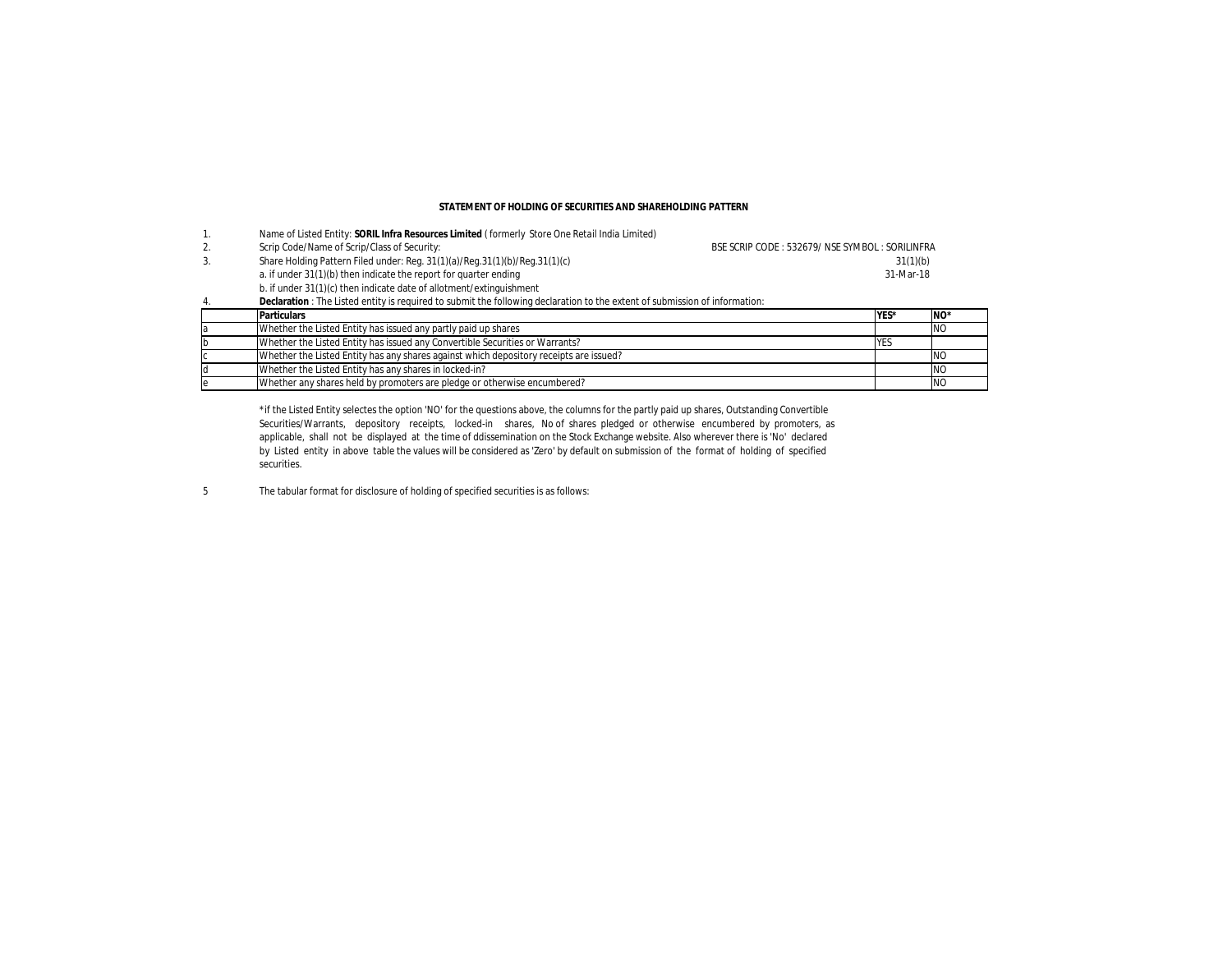### **STATEMENT OF HOLDING OF SECURITIES AND SHAREHOLDING PATTERN**

|    | Name of Listed Entity: SORIL Infra Resources Limited (formerly Store One Retail India Limited)                              |                                                |             |                 |  |  |  |  |  |
|----|-----------------------------------------------------------------------------------------------------------------------------|------------------------------------------------|-------------|-----------------|--|--|--|--|--|
| 2. | Scrip Code/Name of Scrip/Class of Security:                                                                                 | BSE SCRIP CODE: 532679/ NSE SYMBOL: SORILINFRA |             |                 |  |  |  |  |  |
| 3. | Share Holding Pattern Filed under: Reg. 31(1)(a)/Reg.31(1)(b)/Reg.31(1)(c)                                                  | 31(1)(b)                                       |             |                 |  |  |  |  |  |
|    | a. if under 31(1)(b) then indicate the report for quarter ending                                                            |                                                |             |                 |  |  |  |  |  |
|    | b. if under 31(1)(c) then indicate date of allotment/extinguishment                                                         |                                                |             |                 |  |  |  |  |  |
| 4  | Declaration : The Listed entity is required to submit the following declaration to the extent of submission of information: |                                                |             |                 |  |  |  |  |  |
|    | <b>Particulars</b>                                                                                                          |                                                | YES*        | NO <sup>*</sup> |  |  |  |  |  |
|    | Whether the Listed Entity has issued any partly paid up shares                                                              |                                                |             | <b>NO</b>       |  |  |  |  |  |
|    | Whether the Listed Entity has issued any Convertible Securities or Warrants?                                                |                                                | <b>IYES</b> |                 |  |  |  |  |  |
|    | Whether the Listed Entity has any shares against which depository receipts are issued?                                      |                                                |             | NO              |  |  |  |  |  |
|    | Whether the Listed Entity has any shares in locked-in?                                                                      |                                                |             | <b>NO</b>       |  |  |  |  |  |
|    | Whether any shares held by promoters are pledge or otherwise encumbered?                                                    |                                                |             | <b>NO</b>       |  |  |  |  |  |

\*if the Listed Entity selectes the option 'NO' for the questions above, the columns for the partly paid up shares, Outstanding Convertible Securities/Warrants, depository receipts, locked-in shares, No of shares pledged or otherwise encumbered by promoters, as applicable, shall not be displayed at the time of ddissemination on the Stock Exchange website. Also wherever there is 'No' declared by Listed entity in above table the values will be considered as 'Zero' by default on submission of the format of holding of specified securities.

5 The tabular format for disclosure of holding of specified securities is as follows: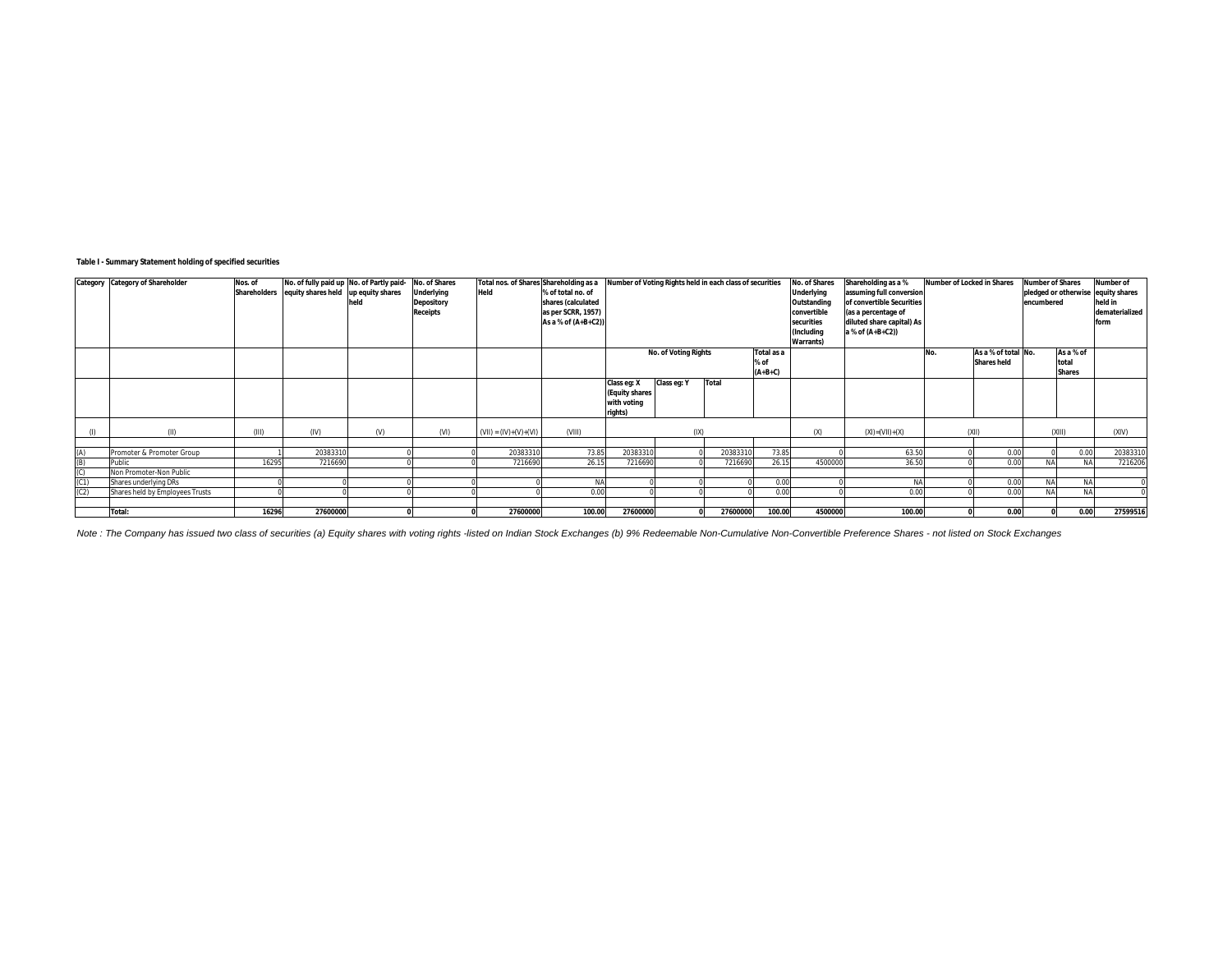# **Table I - Summary Statement holding of specified securities**

|            | Category Category of Shareholder    | Nos. of | No. of fully paid up No. of Partly paid-         |      | No. of Shares                        | Total nos. of Shares Shareholding as a |                                         | Number of Voting Rights held in each class of securities |                      |          | No. of Shares                    | Shareholding as a %<br>Number of Locked in Shares     |                           |     | <b>Number of Shares</b> |                                               | Number of         |          |
|------------|-------------------------------------|---------|--------------------------------------------------|------|--------------------------------------|----------------------------------------|-----------------------------------------|----------------------------------------------------------|----------------------|----------|----------------------------------|-------------------------------------------------------|---------------------------|-----|-------------------------|-----------------------------------------------|-------------------|----------|
|            |                                     |         | Shareholders equity shares held up equity shares |      | <b>Underlying</b>                    | Held                                   | % of total no. of<br>shares (calculated |                                                          |                      |          | <b>Underlying</b><br>Outstanding | assuming full conversion<br>of convertible Securities |                           |     | encumbered              | pledged or otherwise equity shares<br>held in |                   |          |
|            |                                     |         |                                                  | held | <b>Depository</b><br><b>Receipts</b> |                                        | as per SCRR, 1957)                      |                                                          |                      |          |                                  | convertible                                           | (as a percentage of       |     |                         |                                               | dematerialized    |          |
|            |                                     |         |                                                  |      |                                      |                                        | As a % of (A+B+C2))                     |                                                          |                      |          |                                  | securities                                            | diluted share capital) As |     |                         |                                               | form              |          |
|            |                                     |         |                                                  |      |                                      |                                        |                                         |                                                          |                      |          |                                  | (Including                                            | a % of (A+B+C2))          |     |                         |                                               |                   |          |
|            |                                     |         |                                                  |      |                                      |                                        |                                         |                                                          |                      |          |                                  | <b>Warrants</b> )                                     |                           |     |                         |                                               |                   |          |
|            |                                     |         |                                                  |      |                                      |                                        |                                         |                                                          | No. of Voting Rights |          | Total as a                       |                                                       |                           | No. | As a % of total No.     |                                               | As a % of         |          |
|            |                                     |         |                                                  |      |                                      |                                        |                                         |                                                          |                      |          | % of                             |                                                       |                           |     | <b>Shares held</b>      |                                               | total             |          |
|            |                                     |         |                                                  |      |                                      |                                        |                                         |                                                          |                      |          | $(A+B+C)$                        |                                                       |                           |     |                         |                                               | <b>Shares</b>     |          |
|            |                                     |         |                                                  |      |                                      |                                        |                                         | Class eq: X<br>(Equity shares                            | Class eq: Y          | Total    |                                  |                                                       |                           |     |                         |                                               |                   |          |
|            |                                     |         |                                                  |      |                                      |                                        |                                         | with voting                                              |                      |          |                                  |                                                       |                           |     |                         |                                               |                   |          |
|            |                                     |         |                                                  |      |                                      |                                        |                                         | rights)                                                  |                      |          |                                  |                                                       |                           |     |                         |                                               |                   |          |
|            |                                     |         |                                                  |      |                                      |                                        |                                         |                                                          |                      |          |                                  |                                                       |                           |     |                         |                                               |                   |          |
|            | (II)                                | (III)   | (IV)                                             | (V)  | (VI)                                 | $(VII) = (IV)+(V)+(VI)$                | (VIII)                                  |                                                          | (IX)                 |          |                                  | (X)                                                   | $(XI) = (VII) + (X)$      |     | (XII)                   |                                               | (XIII)            | (XIV)    |
|            |                                     |         |                                                  |      |                                      |                                        |                                         |                                                          |                      |          |                                  |                                                       |                           |     |                         |                                               |                   |          |
| (A)<br>(B) | Promoter & Promoter Group<br>Public | 16295   | 20383310                                         |      |                                      | 20383310                               | 73.85<br>26.15                          | 2038331                                                  |                      | 20383310 | 73.85<br>26.15                   | 4500000                                               | 63.50<br>36.50            |     | 0.00<br>0.00            |                                               | 0.00<br><b>NA</b> | 20383310 |
|            | Non Promoter-Non Public             |         | 7216690                                          |      |                                      | 7216690                                |                                         | 7216690                                                  |                      | 7216690  |                                  |                                                       |                           |     |                         |                                               |                   | 7216206  |
|            | Shares underlying DRs               |         |                                                  |      |                                      |                                        | <b>NA</b>                               |                                                          |                      |          | 0.00                             |                                                       | NΔ                        |     | 0.00                    | <b>NA</b>                                     | <b>NA</b>         |          |
| (C2)       | Shares held by Employees Trusts     |         |                                                  |      |                                      |                                        | 0.00                                    |                                                          |                      |          | 0.00                             |                                                       | 0.00                      |     | 0.00                    |                                               | <b>NA</b>         |          |
|            |                                     |         |                                                  |      |                                      |                                        |                                         |                                                          |                      |          |                                  |                                                       |                           |     |                         |                                               |                   |          |
|            | Total:                              | 16296   | 27600000                                         |      |                                      | 27600000                               | 100.00                                  | 27600000                                                 |                      | 27600000 | 100.00                           | 4500000                                               | 100.00                    |     | 0.00                    |                                               | 0.00              | 27599516 |

Note : The Company has issued two class of securities (a) Equity shares with voting rights -listed on Indian Stock Exchanges (b) 9% Redeemable Non-Cumulative Non-Convertible Preference Shares - not listed on Stock Exchange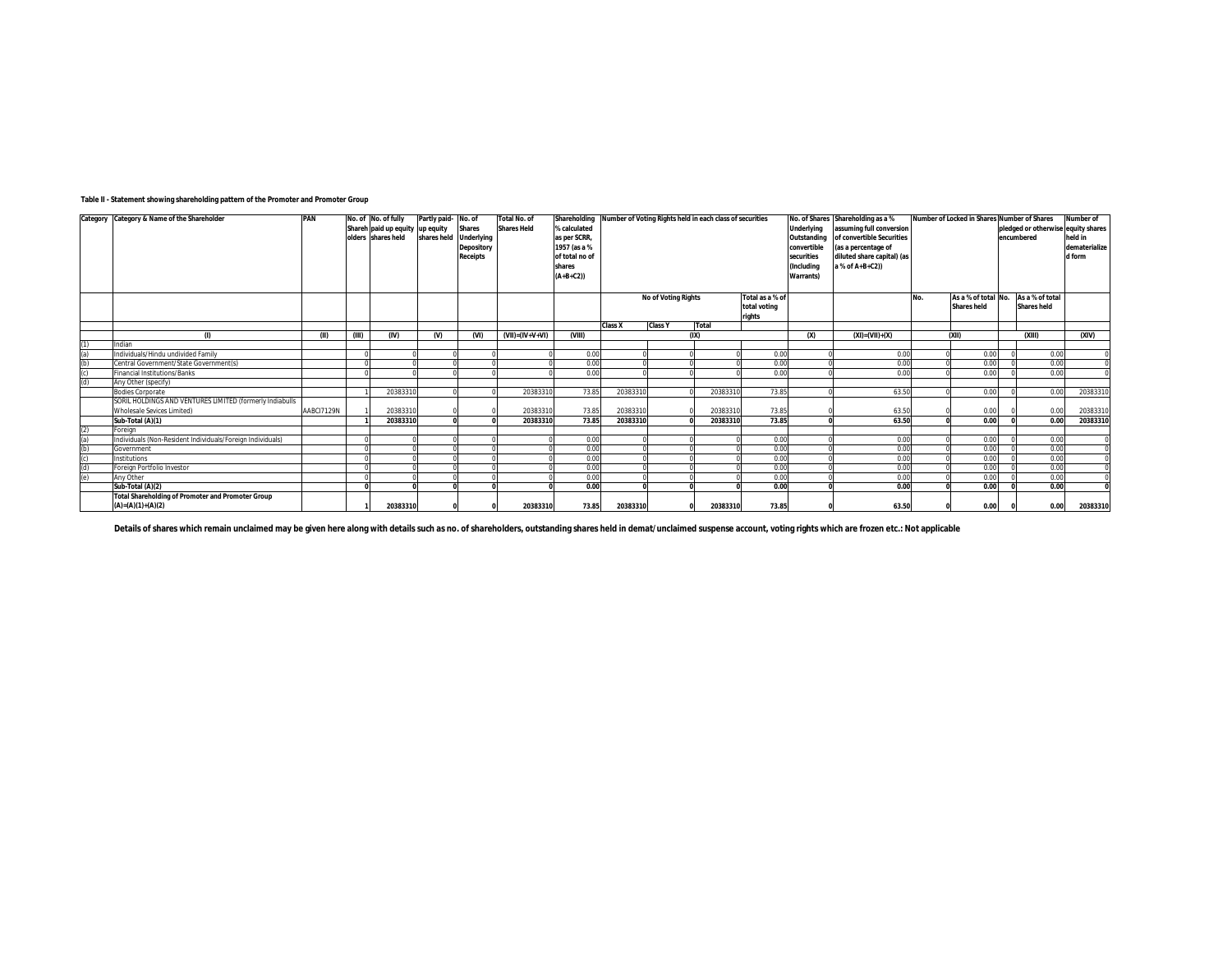## **Table II - Statement showing shareholding pattern of the Promoter and Promoter Group**

|            | Category Category & Name of the Shareholder                                                   | PAN        |       | No. of No. of fully             | Partly paid- No. of |                   | <b>Total No. of</b>     | Shareholding   |                                               |                | Number of Voting Rights held in each class of securities |              |                   | No. of Shares Shareholding as a % | <b>Number of Locked in Shares</b> |                     |                                    | Number of Shares   | Number of          |
|------------|-----------------------------------------------------------------------------------------------|------------|-------|---------------------------------|---------------------|-------------------|-------------------------|----------------|-----------------------------------------------|----------------|----------------------------------------------------------|--------------|-------------------|-----------------------------------|-----------------------------------|---------------------|------------------------------------|--------------------|--------------------|
|            |                                                                                               |            |       | Shareh paid up equity up equity |                     | <b>Shares</b>     | <b>Shares Held</b>      | % calculated   |                                               |                |                                                          |              | <b>Underlying</b> | assuming full conversion          |                                   |                     | pledged or otherwise equity shares |                    |                    |
|            |                                                                                               |            |       | olders shares held              | shares held         | <b>Underlying</b> |                         | as per SCRR,   |                                               |                |                                                          |              | Outstanding       | of convertible Securities         |                                   |                     |                                    | encumbered         | held in            |
|            |                                                                                               |            |       |                                 |                     | <b>Depository</b> |                         | 1957 (as a %   |                                               |                |                                                          |              | convertible       | (as a percentage of               |                                   |                     |                                    |                    | dematerialize      |
|            |                                                                                               |            |       |                                 |                     | <b>Receipts</b>   |                         | of total no of |                                               |                |                                                          |              | securities        | diluted share capital) (as        |                                   |                     |                                    |                    | d form             |
|            |                                                                                               |            |       |                                 |                     |                   |                         | shares         |                                               |                |                                                          |              | (Including        | a % of A+B+C2))                   |                                   |                     |                                    |                    |                    |
|            |                                                                                               |            |       |                                 |                     |                   |                         | $(A+B+C2))$    |                                               |                |                                                          |              | <b>Warrants</b> ) |                                   |                                   |                     |                                    |                    |                    |
|            |                                                                                               |            |       |                                 |                     |                   |                         |                |                                               |                |                                                          |              |                   |                                   |                                   |                     |                                    |                    |                    |
|            |                                                                                               |            |       |                                 |                     |                   |                         |                | <b>No of Voting Rights</b><br>Total as a % of |                |                                                          |              |                   |                                   | No.                               | As a % of total No. |                                    | As a % of total    |                    |
|            |                                                                                               |            |       |                                 |                     |                   |                         |                | total voting                                  |                |                                                          |              |                   |                                   |                                   | <b>Shares held</b>  |                                    | <b>Shares held</b> |                    |
|            |                                                                                               |            |       |                                 |                     |                   |                         |                | <b>Class X</b>                                | <b>Class Y</b> | <b>Total</b>                                             | rights       |                   |                                   |                                   |                     |                                    |                    |                    |
|            | (D                                                                                            |            |       | (IV)                            | ൜                   | $\mathbf{M}$      | $(VII) = (IV + V + VI)$ | VIII           |                                               |                | (IXI)                                                    |              | (x)               | $(XI) = (VII) + (X)$              |                                   | $(X$ II)            |                                    | (x  )              | W <sub>0</sub>     |
|            | Indian                                                                                        | (II)       | (III) |                                 |                     |                   |                         |                |                                               |                |                                                          |              |                   |                                   |                                   |                     |                                    |                    |                    |
| (a)        | Individuals/Hindu undivided Family                                                            |            |       |                                 |                     |                   |                         | 0.00           |                                               |                |                                                          | 0.00         |                   | 0.00                              |                                   | 0.00                |                                    | 0.00               |                    |
| (b)        | Central Government/State Government(s)                                                        |            |       |                                 |                     |                   |                         | 0.00           |                                               |                |                                                          | 0.00         |                   | 0.00                              |                                   | 0.00                |                                    | 0.00               |                    |
|            | Financial Institutions/Banks                                                                  |            |       |                                 |                     |                   |                         | 0.00           |                                               |                |                                                          | 0.00         |                   | 0.00                              |                                   | 0.00                |                                    | 0.00               |                    |
| (d)        | Any Other (specify)                                                                           |            |       |                                 |                     |                   |                         |                |                                               |                |                                                          |              |                   |                                   |                                   |                     |                                    |                    |                    |
|            | <b>Bodies Corporate</b>                                                                       |            |       | 20383310                        |                     |                   | 20383310                | 73.85          | 20383310                                      |                | 20383310                                                 | 73.85        |                   | 63.50                             |                                   | 0.00                |                                    | 0.00               | 2038331            |
|            |                                                                                               |            |       |                                 |                     |                   |                         |                |                                               |                |                                                          |              |                   |                                   |                                   |                     |                                    |                    |                    |
|            | SORIL HOLDINGS AND VENTURES LIMITED (formerly Indiabulls<br><b>Wholesale Sevices Limited)</b> | AABCI7129N |       | 20383310                        |                     |                   | 2038331                 | 73.85          | 2038331                                       |                | 20383310                                                 | 73.85        |                   |                                   |                                   |                     |                                    |                    |                    |
|            |                                                                                               |            |       | 20383310                        |                     |                   | 20383310                | 73.85          | 20383310                                      |                | 20383310                                                 | 73.85        |                   | 63.50<br>63.50                    |                                   | 0.00<br>0.00        |                                    | 0.00<br>0.00       | 2038331<br>2038331 |
| (2)        | Sub-Total (A)(1)<br>Foreign                                                                   |            |       |                                 |                     |                   |                         |                |                                               |                |                                                          |              |                   |                                   |                                   |                     |                                    |                    |                    |
|            |                                                                                               |            |       |                                 |                     |                   |                         |                |                                               |                |                                                          | 0.00         |                   |                                   |                                   |                     |                                    | 0.00               |                    |
| (a)<br>(b) | Individuals (Non-Resident Individuals/Foreign Individuals)                                    |            |       |                                 |                     |                   |                         | 0.00<br>0.00   |                                               |                |                                                          | 0.00         |                   | 0.00<br>0.00                      |                                   | 0.00<br>0.00        |                                    | 0.00               |                    |
| (c)        | Government<br>Institutions                                                                    |            |       |                                 |                     |                   |                         | 0.00           |                                               |                |                                                          | 0.00         |                   | 0.00                              |                                   | 0.00                |                                    | 0.00               |                    |
|            |                                                                                               |            |       |                                 |                     |                   |                         |                |                                               |                |                                                          |              |                   |                                   |                                   |                     |                                    |                    |                    |
| (d)<br>(e) | Foreign Portfolio Investor                                                                    |            |       |                                 |                     |                   |                         | 0.00           |                                               |                |                                                          | 0.00         |                   | 0.00                              |                                   | 0.00                |                                    | 0.00               |                    |
|            | Any Other                                                                                     |            |       |                                 |                     |                   |                         | 0.00           |                                               |                |                                                          | 0.00<br>0.00 |                   | 0.00<br>0.00                      |                                   | 0.00<br>0.00        |                                    | 0.00<br>0.00       |                    |
|            | Sub-Total (A)(2)                                                                              |            |       |                                 |                     |                   |                         | 0.00           |                                               |                |                                                          |              |                   |                                   |                                   |                     |                                    |                    |                    |
|            | <b>Total Shareholding of Promoter and Promoter Group</b>                                      |            |       |                                 |                     |                   |                         |                |                                               |                |                                                          |              |                   |                                   |                                   |                     |                                    |                    |                    |
|            | $(A)=(A)(1)+(A)(2)$                                                                           |            |       | 20383310                        |                     |                   | 20383310                | 73.85          | 20383310                                      |                | 20383310                                                 | 73.85        |                   | 63.50                             |                                   | 0.00                |                                    | 0.00               | 20383310           |

Details of shares which remain unclaimed may be given here along with details such as no. of shareholders, outstanding shares held in demat/unclaimed suspense account, voting rights which are frozen etc.: Not applicable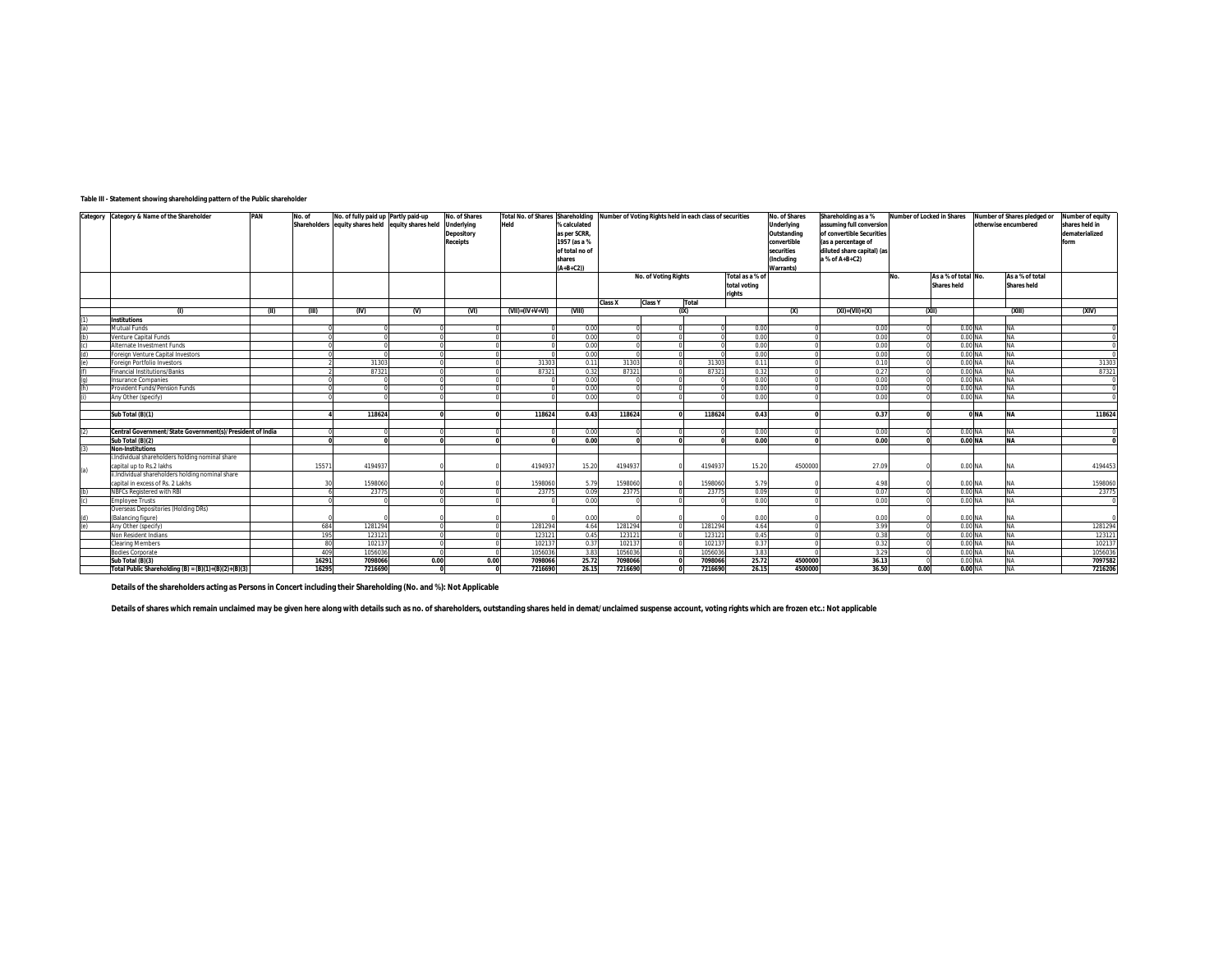## **Table III - Statement showing shareholding pattern of the Public shareholder**

|                                                                                     | Category Category & Name of the Shareholder               | PAN  | No. of | No. of fully paid up Partly paid-up                |       | No. of Shares     |                         | Total No. of Shares Shareholding Number of Voting Rights held in each class of securities |                |                      |         | No. of Shares   | Shareholding as a %      | Number of Locked in Shares |      | Number of Shares pledged or |                 | Number of equity     |                |
|-------------------------------------------------------------------------------------|-----------------------------------------------------------|------|--------|----------------------------------------------------|-------|-------------------|-------------------------|-------------------------------------------------------------------------------------------|----------------|----------------------|---------|-----------------|--------------------------|----------------------------|------|-----------------------------|-----------------|----------------------|----------------|
|                                                                                     |                                                           |      |        | Shareholders equity shares held equity shares held |       | <b>Underlying</b> | Held                    | % calculated                                                                              |                |                      |         |                 | Underlying               | assuming full conversion   |      |                             |                 | otherwise encumbered | shares held in |
|                                                                                     |                                                           |      |        |                                                    |       | Depository        |                         | as per SCRR,                                                                              |                |                      |         |                 | Outstanding              | of convertible Securities  |      |                             |                 |                      | dematerialized |
|                                                                                     |                                                           |      |        |                                                    |       | <b>Receipts</b>   |                         | 1957 (as a %                                                                              |                |                      |         |                 | convertible              | (as a percentage of        |      |                             |                 |                      | form           |
|                                                                                     |                                                           |      |        |                                                    |       |                   |                         | of total no of                                                                            |                |                      |         |                 | securities               | diluted share capital) (as |      |                             |                 |                      |                |
|                                                                                     |                                                           |      |        |                                                    |       |                   |                         | shares                                                                                    |                |                      |         |                 | <i><b>(Including</b></i> | a % of A+B+C2)             |      |                             |                 |                      |                |
|                                                                                     |                                                           |      |        |                                                    |       |                   |                         | $(A+B+C2))$                                                                               |                |                      |         |                 | <b>Warrants</b> )        |                            |      |                             |                 |                      |                |
|                                                                                     |                                                           |      |        |                                                    |       |                   |                         |                                                                                           |                | No. of Voting Rights |         | Total as a % of |                          |                            | No.  | As a % of total No.         |                 | As a % of total      |                |
|                                                                                     |                                                           |      |        |                                                    |       |                   |                         |                                                                                           |                |                      |         | total voting    |                          |                            |      | <b>Shares held</b>          |                 | <b>Shares held</b>   |                |
|                                                                                     |                                                           |      |        |                                                    |       |                   |                         |                                                                                           |                |                      |         | rights          |                          |                            |      |                             |                 |                      |                |
|                                                                                     |                                                           |      |        |                                                    |       |                   |                         |                                                                                           | <b>Class X</b> | <b>Class Y</b>       | Total   |                 |                          |                            |      |                             |                 |                      |                |
|                                                                                     | (1)                                                       | (II) | (III)  | (IV)                                               | $(V)$ | (VI)              | $(VII) = (IV + V + VI)$ | (VIII)                                                                                    |                |                      | (IX)    |                 | (x)                      | $(XI) = (VII) + (X)$       |      | (XII)                       |                 | (XIII)               | (XIV)          |
| (1)                                                                                 | <b>Institutions</b>                                       |      |        |                                                    |       |                   |                         |                                                                                           |                |                      |         |                 |                          |                            |      |                             |                 |                      |                |
| $\frac{(a)}{(b)}$                                                                   | <b>Mutual Funds</b>                                       |      |        |                                                    |       |                   |                         | 0.00                                                                                      |                |                      |         | 0.00            |                          | 0.00                       |      | 0.00 NA                     |                 | NA                   |                |
|                                                                                     | Venture Capital Funds                                     |      |        |                                                    |       |                   |                         | 0.00                                                                                      |                |                      |         | 0.00            |                          | 0.00                       |      | 0.00 NA                     |                 | NA                   |                |
| $\begin{array}{c} \text{(c)} \\ \text{(d)} \\ \text{(e)} \\ \text{(f)} \end{array}$ | Alternate Investment Funds                                |      |        |                                                    |       |                   |                         | 0.00                                                                                      |                |                      |         | 0.00            |                          | 0.00                       |      | 0.00 NA                     |                 | NA                   |                |
|                                                                                     | Foreign Venture Capital Investors                         |      |        |                                                    |       |                   |                         | 0.00                                                                                      |                |                      |         | 0.00            |                          | 0.00                       |      | 0.00 NA                     |                 | ΝA                   |                |
|                                                                                     | Foreign Portfolio Investors                               |      |        | 31303                                              |       |                   | 31303                   | 0.11                                                                                      | 31303          |                      | 31303   | 0.11            |                          | 0.10                       |      | 0.00 NA                     |                 | NA                   | 31303          |
|                                                                                     | <b>Financial Institutions/Banks</b>                       |      |        | 8732                                               |       |                   | 87321                   | 0.32                                                                                      | 87321          |                      | 87321   | 0.32            |                          | 0.27                       |      | 0.00 NA                     |                 | NA                   | 87321          |
| (q)                                                                                 | <b>Insurance Companies</b>                                |      |        |                                                    |       |                   |                         | 0.00                                                                                      |                |                      |         | 0.00            |                          | 0.00                       |      | 0.00 NA                     |                 | NA                   |                |
| $\overline{(\mathsf{h})}$                                                           | Provident Funds/Pension Funds                             |      |        |                                                    |       |                   |                         | 0.00                                                                                      |                |                      |         | 0.00            |                          | 0.00                       |      | 0.00 NA                     |                 | ΝA                   |                |
|                                                                                     | Any Other (specify)                                       |      |        |                                                    |       |                   |                         | 0.00                                                                                      |                |                      |         | 0.00            |                          | 0.00                       |      | 0.00 NA                     |                 | NA                   |                |
|                                                                                     |                                                           |      |        |                                                    |       |                   |                         |                                                                                           |                |                      |         |                 |                          |                            |      |                             |                 |                      |                |
|                                                                                     | Sub Total (B)(1)                                          |      |        | 118624                                             |       |                   | 118624                  | 0.43                                                                                      | 118624         |                      | 118624  | 0.43            |                          | 0.37                       |      |                             | 0 <sub>NA</sub> | <b>NA</b>            | 118624         |
|                                                                                     |                                                           |      |        |                                                    |       |                   |                         |                                                                                           |                |                      |         |                 |                          |                            |      |                             |                 |                      |                |
| (2)                                                                                 | Central Government/State Government(s)/President of India |      |        |                                                    |       |                   |                         | 0.00                                                                                      |                |                      |         | 0.00            |                          | 0.00                       |      | 0.00 NA                     |                 | NA                   |                |
|                                                                                     | Sub Total (B)(2)                                          |      |        |                                                    |       |                   |                         | 0.00                                                                                      |                |                      |         | 0.00            |                          | 0.00                       |      | 0.00 NA                     |                 | <b>NA</b>            |                |
| (3)                                                                                 | <b>Non-Institutions</b>                                   |      |        |                                                    |       |                   |                         |                                                                                           |                |                      |         |                 |                          |                            |      |                             |                 |                      |                |
|                                                                                     | i.Individual shareholders holding nominal share           |      |        |                                                    |       |                   |                         |                                                                                           |                |                      |         |                 |                          |                            |      |                             |                 |                      |                |
| (a)                                                                                 | capital up to Rs.2 lakhs                                  |      | 15571  | 4194937                                            |       |                   | 4194937                 | 15.20                                                                                     | 4194937        |                      | 4194937 | 15.20           | 4500000                  | 27.09                      |      | 0.00 NA                     |                 | NΑ                   | 4194453        |
|                                                                                     | ii.Individual shareholders holding nominal share          |      |        |                                                    |       |                   |                         |                                                                                           |                |                      |         |                 |                          |                            |      |                             |                 |                      |                |
|                                                                                     | capital in excess of Rs. 2 Lakhs                          |      |        | 1598060                                            |       |                   | 1598060                 | 5.79                                                                                      | 1598060        |                      | 1598060 | 5.79            |                          | 4.98                       |      | 0.00 NA                     |                 | NA                   | 1598060        |
| (b)                                                                                 | NBFCs Registered with RBI                                 |      |        | 23775                                              |       |                   | 23775                   | 0.09                                                                                      | 23775          |                      | 23775   | 0.09            |                          | 0.07                       |      | 0.00 NA                     |                 | ΝA                   | 23775          |
| (c)                                                                                 | <b>Employee Trusts</b>                                    |      |        |                                                    |       |                   |                         | 0.00                                                                                      |                |                      |         | 0.00            |                          | 0.00                       |      | 0.00 NA                     |                 | NA                   |                |
|                                                                                     | Overseas Depositories (Holding DRs)                       |      |        |                                                    |       |                   |                         |                                                                                           |                |                      |         |                 |                          |                            |      |                             |                 |                      |                |
| (d)                                                                                 | (Balancing figure)                                        |      |        |                                                    |       |                   |                         | 0.00                                                                                      |                |                      |         | 0.00            |                          | 0.00                       |      | 0.00 NA                     |                 | NA                   |                |
| $\overline{e}$                                                                      | Any Other (specify)                                       |      | 684    | 1281294                                            |       |                   | 1281294                 | 4.64                                                                                      | 1281294        |                      | 1281294 | 4.64            |                          | 3.99                       |      | 0.00 NA                     |                 | ΝA                   | 1281294        |
|                                                                                     | Non Resident Indians                                      |      | 195    | 123121                                             |       |                   | 123121                  | 0.45                                                                                      | 123121         |                      | 123121  | 0.45            |                          | 0.38                       |      | 0.00 NA                     |                 | NA                   | 12312          |
|                                                                                     | <b>Clearing Members</b>                                   |      | 80     | 102137                                             |       |                   | 102137                  | 0.37                                                                                      | 102137         |                      | 102137  | 0.37            |                          | 0.32                       |      | 0.00 NA                     |                 | NA                   | 10213          |
|                                                                                     | <b>Bodies Corporate</b>                                   |      | 409    | 1056036                                            |       |                   | 1056036                 | 3.83                                                                                      | 1056036        |                      | 1056036 | 3.83            |                          | 3.29                       |      | 0.00 NA                     |                 | NA                   | 1056036        |
|                                                                                     | Sub Total (B)(3)                                          |      | 16291  | 7098066                                            | 0.00  | 0.00              | 7098066                 | 25.72                                                                                     | 7098066        |                      | 7098066 | 25.72           | 4500000                  | 36.13                      |      | 0.00 NA                     |                 | NA                   | 7097582        |
|                                                                                     | Total Public Shareholding (B) = (B)(1)+(B)(2)+(B)(3)      |      | 16295  | 7216690                                            |       |                   | 7216690                 | 26.15                                                                                     | 7216690        |                      | 7216690 | 26.15           | 4500000                  | 36.50                      | 0.00 | 0.00 NA                     |                 | NA                   | 7216206        |

**Details of the shareholders acting as Persons in Concert including their Shareholding (No. and %): Not Applicable**

Details of shares which remain unclaimed may be given here along with details such as no. of shareholders, outstanding shares held in demat/unclaimed suspense account, voting rights which are frozen etc.: Not applicable